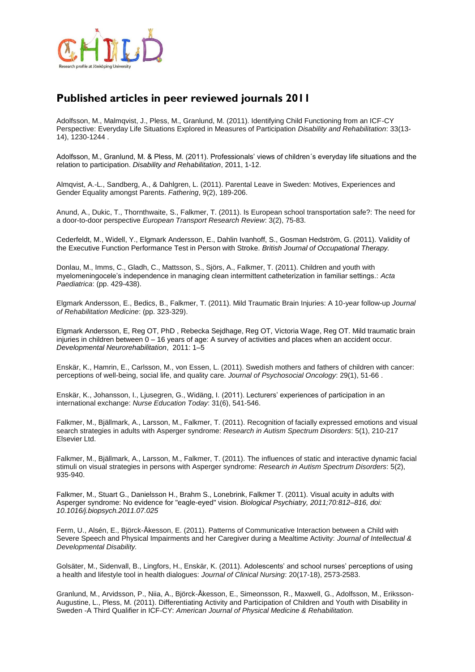

## **Published articles in peer reviewed journals 2011**

Adolfsson, M., Malmqvist, J., Pless, M., Granlund, M. (2011). Identifying Child Functioning from an ICF-CY Perspective: Everyday Life Situations Explored in Measures of Participation *Disability and Rehabilitation*: 33(13- 14), 1230-1244 .

Adolfsson, M., Granlund, M. & Pless, M. (2011). Professionals' views of children´s everyday life situations and the relation to participation. *Disability and Rehabilitation*, 2011, 1-12.

Almqvist, A.-L., Sandberg, A., & Dahlgren, L. (2011). Parental Leave in Sweden: Motives, Experiences and Gender Equality amongst Parents. *Fathering*, 9(2), 189-206.

Anund, A., Dukic, T., Thornthwaite, S., Falkmer, T. (2011). Is European school transportation safe?: The need for a door-to-door perspective *European Transport Research Review*: 3(2), 75-83.

Cederfeldt, M., Widell, Y., Elgmark Andersson, E., Dahlin Ivanhoff, S., Gosman Hedström, G. (2011). Validity of the Executive Function Performance Test in Person with Stroke. *British Journal of Occupational Therapy.*

Donlau, M., Imms, C., Gladh, C., Mattsson, S., Sjörs, A., Falkmer, T. (2011). Children and youth with myelomeningocele's independence in managing clean intermittent catheterization in familiar settings.: *Acta Paediatrica*: (pp. 429-438).

Elgmark Andersson, E., Bedics, B., Falkmer, T. (2011). Mild Traumatic Brain Injuries: A 10-year follow-up *Journal of Rehabilitation Medicine*: (pp. 323-329).

Elgmark Andersson, E, Reg OT, PhD , Rebecka Sejdhage, Reg OT, Victoria Wage, Reg OT. Mild traumatic brain injuries in children between 0 – 16 years of age: A survey of activities and places when an accident occur. *Developmental Neurorehabilitation*, 2011: 1–5

Enskär, K., Hamrin, E., Carlsson, M., von Essen, L. (2011). Swedish mothers and fathers of children with cancer: perceptions of well-being, social life, and quality care. *Journal of Psychosocial Oncology*: 29(1), 51-66 .

Enskär, K., Johansson, I., Ljusegren, G., Widäng, I. (2011). Lecturers' experiences of participation in an international exchange: *Nurse Education Today*: 31(6), 541-546.

Falkmer, M., Bjällmark, A., Larsson, M., Falkmer, T. (2011). Recognition of facially expressed emotions and visual search strategies in adults with Asperger syndrome: *Research in Autism Spectrum Disorders*: 5(1), 210-217 Elsevier Ltd.

Falkmer, M., Bjällmark, A., Larsson, M., Falkmer, T. (2011). The influences of static and interactive dynamic facial stimuli on visual strategies in persons with Asperger syndrome: *Research in Autism Spectrum Disorders*: 5(2), 935-940.

Falkmer, M., Stuart G., Danielsson H., Brahm S., Lonebrink, Falkmer T. (2011). Visual acuity in adults with Asperger syndrome: No evidence for "eagle-eyed" vision. *Biological Psychiatry, 2011;70:812–816, doi: 10.1016/j.biopsych.2011.07.025* 

Ferm, U., Alsén, E., Björck-Åkesson, E. (2011). Patterns of Communicative Interaction between a Child with Severe Speech and Physical Impairments and her Caregiver during a Mealtime Activity: *Journal of Intellectual & Developmental Disability.*

Golsäter, M., Sidenvall, B., Lingfors, H., Enskär, K. (2011). Adolescents' and school nurses' perceptions of using a health and lifestyle tool in health dialogues: *Journal of Clinical Nursing*: 20(17-18), 2573-2583.

Granlund, M., Arvidsson, P., Niia, A., Björck-Åkesson, E., Simeonsson, R., Maxwell, G., Adolfsson, M., Eriksson-Augustine, L., Pless, M. (2011). Differentiating Activity and Participation of Children and Youth with Disability in Sweden -A Third Qualifier in ICF-CY: *American Journal of Physical Medicine & Rehabilitation.*